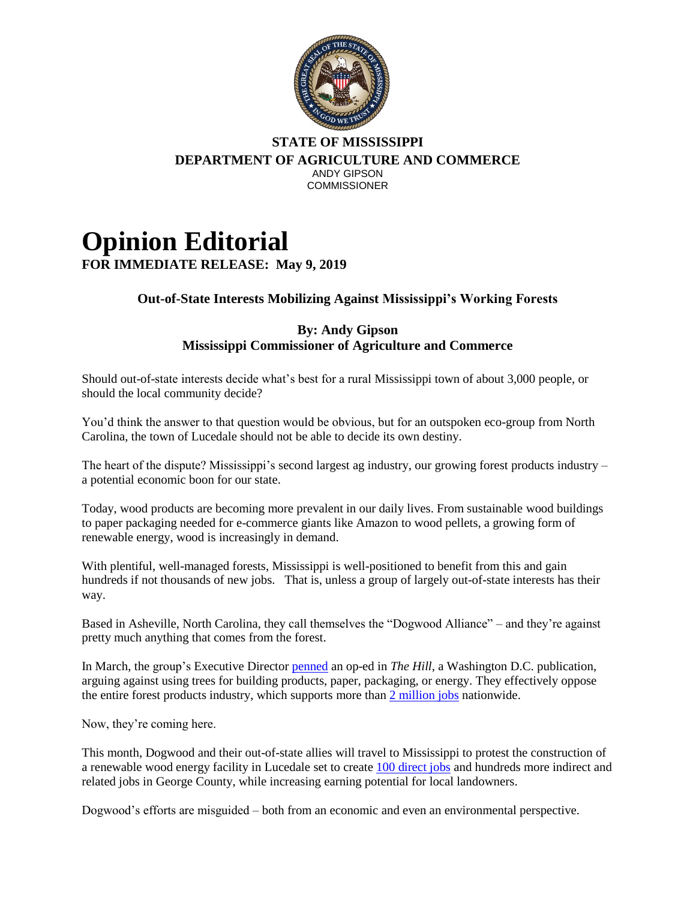

## **STATE OF MISSISSIPPI DEPARTMENT OF AGRICULTURE AND COMMERCE** ANDY GIPSON **COMMISSIONER**

## **Opinion Editorial FOR IMMEDIATE RELEASE: May 9, 2019**

## **Out-of-State Interests Mobilizing Against Mississippi's Working Forests**

## **By: Andy Gipson Mississippi Commissioner of Agriculture and Commerce**

Should out-of-state interests decide what's best for a rural Mississippi town of about 3,000 people, or should the local community decide?

You'd think the answer to that question would be obvious, but for an outspoken eco-group from North Carolina, the town of Lucedale should not be able to decide its own destiny.

The heart of the dispute? Mississippi's second largest ag industry, our growing forest products industry – a potential economic boon for our state.

Today, wood products are becoming more prevalent in our daily lives. From sustainable wood buildings to paper packaging needed for e-commerce giants like Amazon to wood pellets, a growing form of renewable energy, wood is increasingly in demand.

With plentiful, well-managed forests, Mississippi is well-positioned to benefit from this and gain hundreds if not thousands of new jobs. That is, unless a group of largely out-of-state interests has their way.

Based in Asheville, North Carolina, they call themselves the "Dogwood Alliance" – and they're against pretty much anything that comes from the forest.

In March, the group's Executive Director [penned](https://thehill.com/blogs/congress-blog/energy-environment/435055-us-climate-policy-must-protect-forests-and-communities) an op-ed in *The Hill*, a Washington D.C. publication, arguing against using trees for building products, paper, packaging, or energy. They effectively oppose the entire forest products industry, which supports more than [2 million jobs](https://www.afandpa.org/docs/default-source/default-document-library/industry-narrative-2017.pdf?sfvrsn=2) nationwide.

Now, they're coming here.

This month, Dogwood and their out-of-state allies will travel to Mississippi to protest the construction of a renewable wood energy facility in Lucedale set to create [100 direct jobs](https://www.wlox.com/2019/01/07/wood-pellet-facility-expected-bring-jobs-economic-growth-jackson-george-counties/) and hundreds more indirect and related jobs in George County, while increasing earning potential for local landowners.

Dogwood's efforts are misguided – both from an economic and even an environmental perspective.